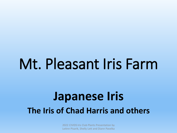# Mt. Pleasant Iris Farm

## **Japanese Iris The Iris of Chad Harris and others**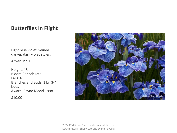#### **Butterflies In Flight**

Light blue violet, veined darker, dark violet styles.

Aitken 1991

Height: 48″ Bloom Period: Late Falls: 6 Branches and Buds: 1 br, 3-4 buds Award: Payne Medal 1998

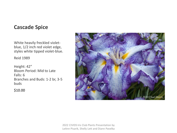#### **Cascade Spice**

White heavily freckled violetblue, 1/2 inch red violet edge, styles white tipped violet-blue.

Reid 1989

Height: 42″ Bloom Period: Mid to Late Falls: 6 Branches and Buds: 1-2 br, 3-5 buds

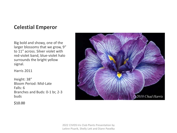#### **Celestial Emperor**

Big bold and showy, one of the larger blossoms that we grow, 9″ to 11″ across. Silver violet with red-violet band, blue-violet halo surrounds the bright yellow signal.

Harris 2011

Height: 38″ Bloom Period: Mid-Late Falls: 6 Branches and Buds: 0-1 br, 2-3 buds

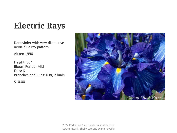## **Electric Rays**

Dark violet with very distinctive neon-blue ray pattern.

Aitken 1990

Height: 50″ Bloom Period: Mid Falls: 6 Branches and Buds: 0 Br, 2 buds

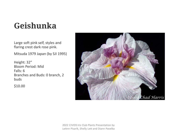## **Geishunka**

Large soft pink self, styles and flaring crest dark rose pink.

Mitsuda 1979 Japan (by SJI 1995)

Height: 32″ Bloom Period: Mid Falls: 6 Branches and Buds: 0 branch, 2 buds

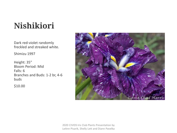## **Nishikiori**

Dark red-violet randomly freckled and streaked white.

Shimizu 1997

Height: 35″ Bloom Period: Mid Falls: 6 Branches and Buds: 1-2 br, 4-6 buds

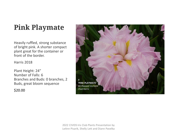## **Pink Playmate**

Heavily ruffled, strong substance of bright pink. A shorter compact plant great for the container or front of the border.

Harris 2018

Plant Height: 24″ Number of Falls: 6 Branches and Buds: 0 branches, 2 Buds, great bloom sequence

\$20.00

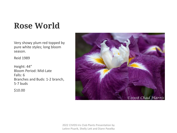## **Rose World**

Very showy plum red topped by pure white styles; long bloom season.

Reid 1989

Height: 44″ Bloom Period: Mid-Late Falls: 6 Branches and Buds: 1-2 branch, 5-7 buds

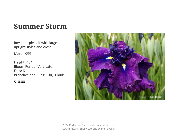### **Summer Storm**

Royal purple self with large upright styles and crest.

Marx 1955

Height: 48″ Bloom Period: Very Late Falls: 6 Branches and Buds: 1 br, 3 buds

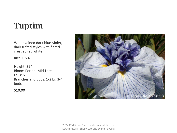## **Tuptim**

White veined dark blue-violet, dark tufted styles with flared crest edged white.

Rich 1974

Height: 39″ Bloom Period: Mid-Late Falls: 6 Branches and Buds: 1-2 br, 3-4 buds

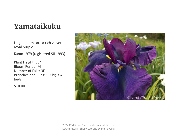### **Yamataikoku**

Large blooms are a rich velvet royal purple.

Kamo 1979 (registered SJI 1993)

Plant Height: 36″ Bloom Period: M Number of Falls: 3F Branches and Buds: 1-2 br, 3-4 buds

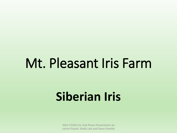# Mt. Pleasant Iris Farm

# **Siberian Iris**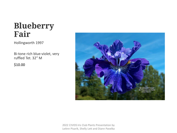### **Blueberry Fair**

Hollingworth 1997

Bi-tone rich blue-violet, very ruffled Tet. 32″ M

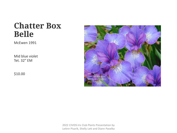### **Chatter Box Belle**

McEwen 1991

Mid blue violet Tet. 32″ EM

\$10.00

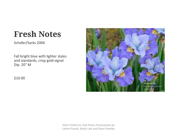## **Fresh Notes**

Schafer/Sacks 2004

Fall bright blue with lighter styles and standards, crisp gold signal Dip. 20″ M

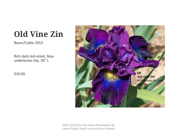## **Old Vine Zin**

Bauer/Coble 2013

Rich dark red-violet, blue undertones Dip. 30″ L

\$10.00